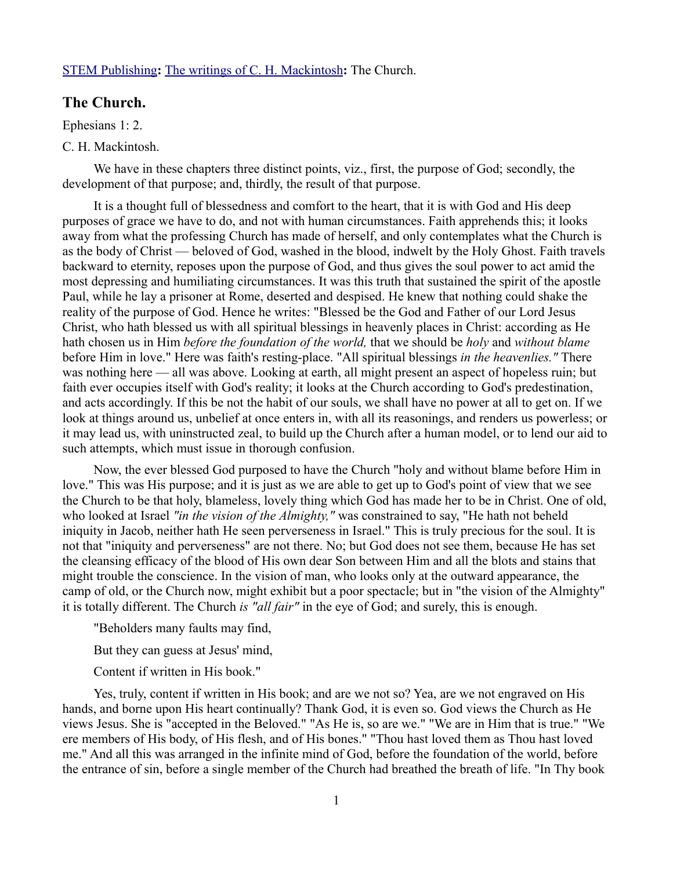## [STEM Publishing](http://www.stempublishing.com/)**:** [The writings of C. H. Mackintosh](http://www.stempublishing.com/authors/mackintosh/index.html)**:** The Church.

## **The Church.**

Ephesians 1: 2.

## C. H. Mackintosh.

We have in these chapters three distinct points, viz., first, the purpose of God; secondly, the development of that purpose; and, thirdly, the result of that purpose.

It is a thought full of blessedness and comfort to the heart, that it is with God and His deep purposes of grace we have to do, and not with human circumstances. Faith apprehends this; it looks away from what the professing Church has made of herself, and only contemplates what the Church is as the body of Christ — beloved of God, washed in the blood, indwelt by the Holy Ghost. Faith travels backward to eternity, reposes upon the purpose of God, and thus gives the soul power to act amid the most depressing and humiliating circumstances. It was this truth that sustained the spirit of the apostle Paul, while he lay a prisoner at Rome, deserted and despised. He knew that nothing could shake the reality of the purpose of God. Hence he writes: "Blessed be the God and Father of our Lord Jesus Christ, who hath blessed us with all spiritual blessings in heavenly places in Christ: according as He hath chosen us in Him *before the foundation of the world,* that we should be *holy* and *without blame* before Him in love." Here was faith's resting-place. "All spiritual blessings *in the heavenlies."* There was nothing here — all was above. Looking at earth, all might present an aspect of hopeless ruin; but faith ever occupies itself with God's reality; it looks at the Church according to God's predestination, and acts accordingly. If this be not the habit of our souls, we shall have no power at all to get on. If we look at things around us, unbelief at once enters in, with all its reasonings, and renders us powerless; or it may lead us, with uninstructed zeal, to build up the Church after a human model, or to lend our aid to such attempts, which must issue in thorough confusion.

Now, the ever blessed God purposed to have the Church "holy and without blame before Him in love." This was His purpose; and it is just as we are able to get up to God's point of view that we see the Church to be that holy, blameless, lovely thing which God has made her to be in Christ. One of old, who looked at Israel *"in the vision of the Almighty,"* was constrained to say, "He hath not beheld iniquity in Jacob, neither hath He seen perverseness in Israel." This is truly precious for the soul. It is not that "iniquity and perverseness" are not there. No; but God does not see them, because He has set the cleansing efficacy of the blood of His own dear Son between Him and all the blots and stains that might trouble the conscience. In the vision of man, who looks only at the outward appearance, the camp of old, or the Church now, might exhibit but a poor spectacle; but in "the vision of the Almighty" it is totally different. The Church *is "all fair"* in the eye of God; and surely, this is enough.

"Beholders many faults may find,

But they can guess at Jesus' mind,

Content if written in His book."

Yes, truly, content if written in His book; and are we not so? Yea, are we not engraved on His hands, and borne upon His heart continually? Thank God, it is even so. God views the Church as He views Jesus. She is "accepted in the Beloved." "As He is, so are we." "We are in Him that is true." "We ere members of His body, of His flesh, and of His bones." "Thou hast loved them as Thou hast loved me." And all this was arranged in the infinite mind of God, before the foundation of the world, before the entrance of sin, before a single member of the Church had breathed the breath of life. "In Thy book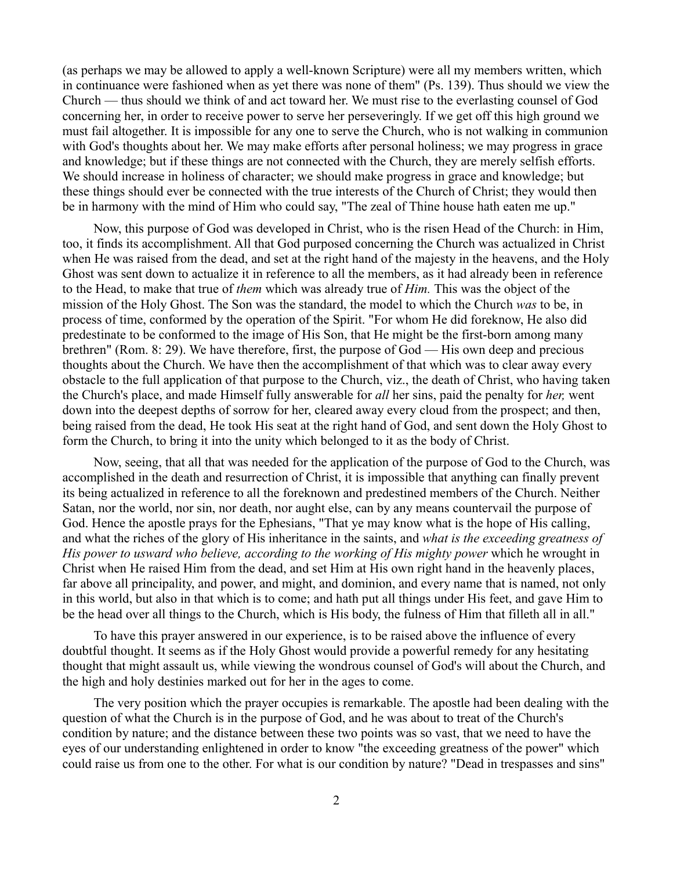(as perhaps we may be allowed to apply a well-known Scripture) were all my members written, which in continuance were fashioned when as yet there was none of them" (Ps. 139). Thus should we view the Church — thus should we think of and act toward her. We must rise to the everlasting counsel of God concerning her, in order to receive power to serve her perseveringly. If we get off this high ground we must fail altogether. It is impossible for any one to serve the Church, who is not walking in communion with God's thoughts about her. We may make efforts after personal holiness; we may progress in grace and knowledge; but if these things are not connected with the Church, they are merely selfish efforts. We should increase in holiness of character; we should make progress in grace and knowledge; but these things should ever be connected with the true interests of the Church of Christ; they would then be in harmony with the mind of Him who could say, "The zeal of Thine house hath eaten me up."

Now, this purpose of God was developed in Christ, who is the risen Head of the Church: in Him, too, it finds its accomplishment. All that God purposed concerning the Church was actualized in Christ when He was raised from the dead, and set at the right hand of the majesty in the heavens, and the Holy Ghost was sent down to actualize it in reference to all the members, as it had already been in reference to the Head, to make that true of *them* which was already true of *Him.* This was the object of the mission of the Holy Ghost. The Son was the standard, the model to which the Church *was* to be, in process of time, conformed by the operation of the Spirit. "For whom He did foreknow, He also did predestinate to be conformed to the image of His Son, that He might be the first-born among many brethren" (Rom. 8: 29). We have therefore, first, the purpose of God — His own deep and precious thoughts about the Church. We have then the accomplishment of that which was to clear away every obstacle to the full application of that purpose to the Church, viz., the death of Christ, who having taken the Church's place, and made Himself fully answerable for *all* her sins, paid the penalty for *her,* went down into the deepest depths of sorrow for her, cleared away every cloud from the prospect; and then, being raised from the dead, He took His seat at the right hand of God, and sent down the Holy Ghost to form the Church, to bring it into the unity which belonged to it as the body of Christ.

Now, seeing, that all that was needed for the application of the purpose of God to the Church, was accomplished in the death and resurrection of Christ, it is impossible that anything can finally prevent its being actualized in reference to all the foreknown and predestined members of the Church. Neither Satan, nor the world, nor sin, nor death, nor aught else, can by any means countervail the purpose of God. Hence the apostle prays for the Ephesians, "That ye may know what is the hope of His calling, and what the riches of the glory of His inheritance in the saints, and *what is the exceeding greatness of His power to usward who believe, according to the working of His mighty power* which he wrought in Christ when He raised Him from the dead, and set Him at His own right hand in the heavenly places, far above all principality, and power, and might, and dominion, and every name that is named, not only in this world, but also in that which is to come; and hath put all things under His feet, and gave Him to be the head over all things to the Church, which is His body, the fulness of Him that filleth all in all."

To have this prayer answered in our experience, is to be raised above the influence of every doubtful thought. It seems as if the Holy Ghost would provide a powerful remedy for any hesitating thought that might assault us, while viewing the wondrous counsel of God's will about the Church, and the high and holy destinies marked out for her in the ages to come.

The very position which the prayer occupies is remarkable. The apostle had been dealing with the question of what the Church is in the purpose of God, and he was about to treat of the Church's condition by nature; and the distance between these two points was so vast, that we need to have the eyes of our understanding enlightened in order to know "the exceeding greatness of the power" which could raise us from one to the other. For what is our condition by nature? "Dead in trespasses and sins"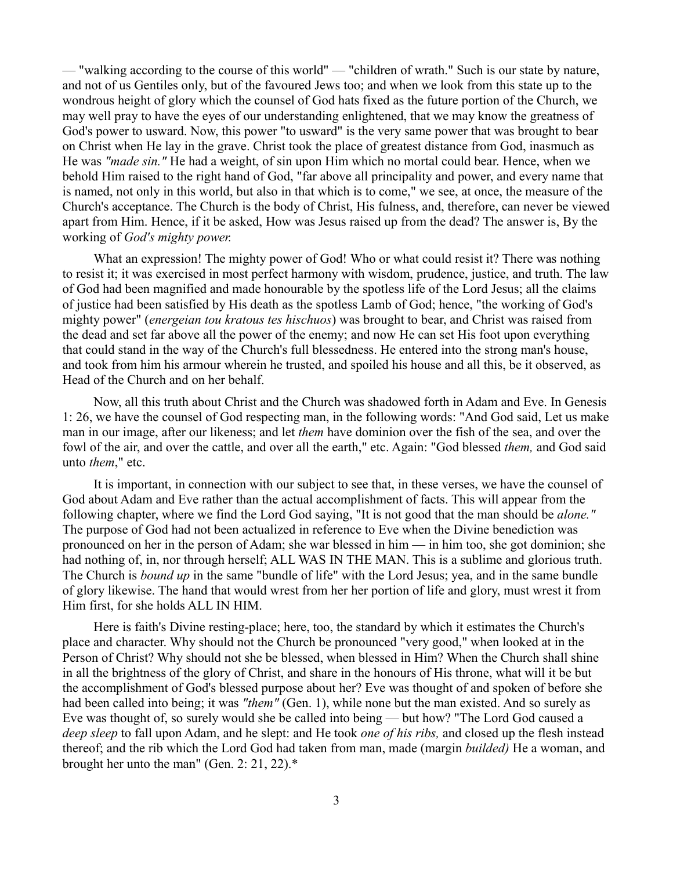— "walking according to the course of this world" — "children of wrath." Such is our state by nature, and not of us Gentiles only, but of the favoured Jews too; and when we look from this state up to the wondrous height of glory which the counsel of God hats fixed as the future portion of the Church, we may well pray to have the eyes of our understanding enlightened, that we may know the greatness of God's power to usward. Now, this power "to usward" is the very same power that was brought to bear on Christ when He lay in the grave. Christ took the place of greatest distance from God, inasmuch as He was *"made sin."* He had a weight, of sin upon Him which no mortal could bear. Hence, when we behold Him raised to the right hand of God, "far above all principality and power, and every name that is named, not only in this world, but also in that which is to come," we see, at once, the measure of the Church's acceptance. The Church is the body of Christ, His fulness, and, therefore, can never be viewed apart from Him. Hence, if it be asked, How was Jesus raised up from the dead? The answer is, By the working of *God's mighty power.* 

What an expression! The mighty power of God! Who or what could resist it? There was nothing to resist it; it was exercised in most perfect harmony with wisdom, prudence, justice, and truth. The law of God had been magnified and made honourable by the spotless life of the Lord Jesus; all the claims of justice had been satisfied by His death as the spotless Lamb of God; hence, "the working of God's mighty power" (*energeian tou kratous tes hischuos*) was brought to bear, and Christ was raised from the dead and set far above all the power of the enemy; and now He can set His foot upon everything that could stand in the way of the Church's full blessedness. He entered into the strong man's house, and took from him his armour wherein he trusted, and spoiled his house and all this, be it observed, as Head of the Church and on her behalf.

Now, all this truth about Christ and the Church was shadowed forth in Adam and Eve. In Genesis 1: 26, we have the counsel of God respecting man, in the following words: "And God said, Let us make man in our image, after our likeness; and let *them* have dominion over the fish of the sea, and over the fowl of the air, and over the cattle, and over all the earth," etc. Again: "God blessed *them,* and God said unto *them*," etc.

It is important, in connection with our subject to see that, in these verses, we have the counsel of God about Adam and Eve rather than the actual accomplishment of facts. This will appear from the following chapter, where we find the Lord God saying, "It is not good that the man should be *alone."* The purpose of God had not been actualized in reference to Eve when the Divine benediction was pronounced on her in the person of Adam; she war blessed in him — in him too, she got dominion; she had nothing of, in, nor through herself; ALL WAS IN THE MAN. This is a sublime and glorious truth. The Church is *bound up* in the same "bundle of life" with the Lord Jesus; yea, and in the same bundle of glory likewise. The hand that would wrest from her her portion of life and glory, must wrest it from Him first, for she holds ALL IN HIM.

Here is faith's Divine resting-place; here, too, the standard by which it estimates the Church's place and character. Why should not the Church be pronounced "very good," when looked at in the Person of Christ? Why should not she be blessed, when blessed in Him? When the Church shall shine in all the brightness of the glory of Christ, and share in the honours of His throne, what will it be but the accomplishment of God's blessed purpose about her? Eve was thought of and spoken of before she had been called into being; it was *"them"* (Gen. 1), while none but the man existed. And so surely as Eve was thought of, so surely would she be called into being — but how? "The Lord God caused a *deep sleep* to fall upon Adam, and he slept: and He took *one of his ribs,* and closed up the flesh instead thereof; and the rib which the Lord God had taken from man, made (margin *builded)* He a woman, and brought her unto the man" (Gen. 2: 21, 22).\*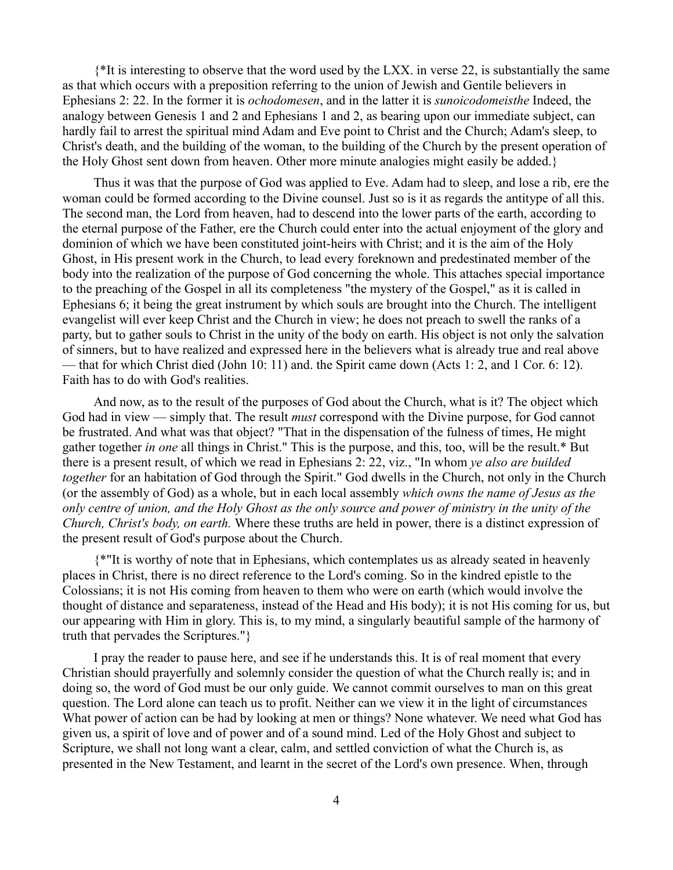{\*It is interesting to observe that the word used by the LXX. in verse 22, is substantially the same as that which occurs with a preposition referring to the union of Jewish and Gentile believers in Ephesians 2: 22. In the former it is *ochodomesen*, and in the latter it is *sunoicodomeisthe* Indeed, the analogy between Genesis 1 and 2 and Ephesians 1 and 2, as bearing upon our immediate subject, can hardly fail to arrest the spiritual mind Adam and Eve point to Christ and the Church; Adam's sleep, to Christ's death, and the building of the woman, to the building of the Church by the present operation of the Holy Ghost sent down from heaven. Other more minute analogies might easily be added.}

Thus it was that the purpose of God was applied to Eve. Adam had to sleep, and lose a rib, ere the woman could be formed according to the Divine counsel. Just so is it as regards the antitype of all this. The second man, the Lord from heaven, had to descend into the lower parts of the earth, according to the eternal purpose of the Father, ere the Church could enter into the actual enjoyment of the glory and dominion of which we have been constituted joint-heirs with Christ; and it is the aim of the Holy Ghost, in His present work in the Church, to lead every foreknown and predestinated member of the body into the realization of the purpose of God concerning the whole. This attaches special importance to the preaching of the Gospel in all its completeness "the mystery of the Gospel," as it is called in Ephesians 6; it being the great instrument by which souls are brought into the Church. The intelligent evangelist will ever keep Christ and the Church in view; he does not preach to swell the ranks of a party, but to gather souls to Christ in the unity of the body on earth. His object is not only the salvation of sinners, but to have realized and expressed here in the believers what is already true and real above — that for which Christ died (John 10: 11) and. the Spirit came down (Acts 1: 2, and 1 Cor. 6: 12). Faith has to do with God's realities.

And now, as to the result of the purposes of God about the Church, what is it? The object which God had in view — simply that. The result *must* correspond with the Divine purpose, for God cannot be frustrated. And what was that object? "That in the dispensation of the fulness of times, He might gather together *in one* all things in Christ." This is the purpose, and this, too, will be the result.\* But there is a present result, of which we read in Ephesians 2: 22, viz., "In whom *ye also are builded together* for an habitation of God through the Spirit." God dwells in the Church, not only in the Church (or the assembly of God) as a whole, but in each local assembly *which owns the name of Jesus as the only centre of union, and the Holy Ghost as the only source and power of ministry in the unity of the Church, Christ's body, on earth.* Where these truths are held in power, there is a distinct expression of the present result of God's purpose about the Church.

{\*"It is worthy of note that in Ephesians, which contemplates us as already seated in heavenly places in Christ, there is no direct reference to the Lord's coming. So in the kindred epistle to the Colossians; it is not His coming from heaven to them who were on earth (which would involve the thought of distance and separateness, instead of the Head and His body); it is not His coming for us, but our appearing with Him in glory. This is, to my mind, a singularly beautiful sample of the harmony of truth that pervades the Scriptures."}

I pray the reader to pause here, and see if he understands this. It is of real moment that every Christian should prayerfully and solemnly consider the question of what the Church really is; and in doing so, the word of God must be our only guide. We cannot commit ourselves to man on this great question. The Lord alone can teach us to profit. Neither can we view it in the light of circumstances What power of action can be had by looking at men or things? None whatever. We need what God has given us, a spirit of love and of power and of a sound mind. Led of the Holy Ghost and subject to Scripture, we shall not long want a clear, calm, and settled conviction of what the Church is, as presented in the New Testament, and learnt in the secret of the Lord's own presence. When, through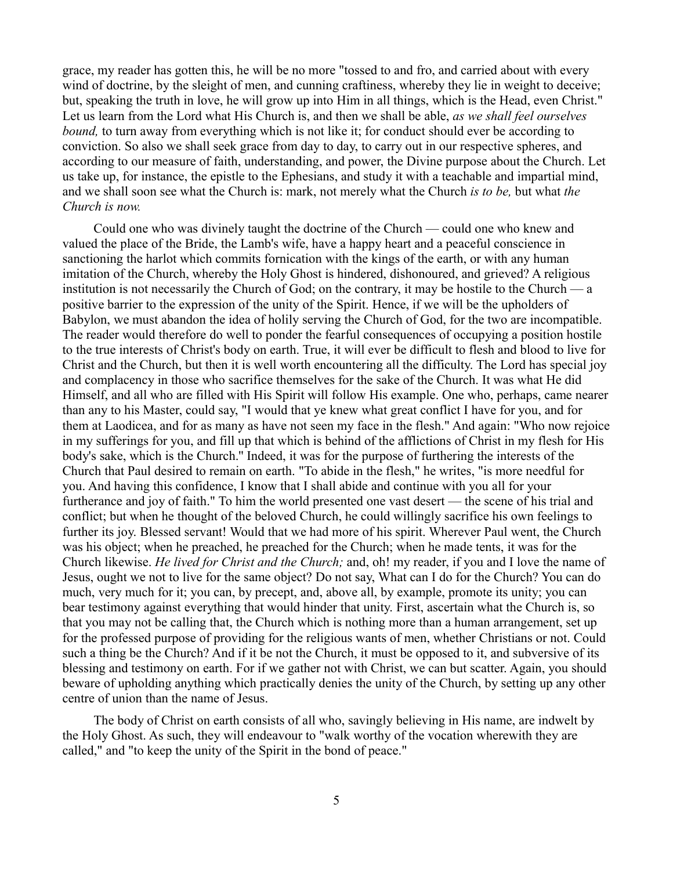grace, my reader has gotten this, he will be no more "tossed to and fro, and carried about with every wind of doctrine, by the sleight of men, and cunning craftiness, whereby they lie in weight to deceive; but, speaking the truth in love, he will grow up into Him in all things, which is the Head, even Christ." Let us learn from the Lord what His Church is, and then we shall be able, *as we shall feel ourselves bound*, to turn away from everything which is not like it; for conduct should ever be according to conviction. So also we shall seek grace from day to day, to carry out in our respective spheres, and according to our measure of faith, understanding, and power, the Divine purpose about the Church. Let us take up, for instance, the epistle to the Ephesians, and study it with a teachable and impartial mind, and we shall soon see what the Church is: mark, not merely what the Church *is to be,* but what *the Church is now.*

Could one who was divinely taught the doctrine of the Church — could one who knew and valued the place of the Bride, the Lamb's wife, have a happy heart and a peaceful conscience in sanctioning the harlot which commits fornication with the kings of the earth, or with any human imitation of the Church, whereby the Holy Ghost is hindered, dishonoured, and grieved? A religious institution is not necessarily the Church of God; on the contrary, it may be hostile to the Church — a positive barrier to the expression of the unity of the Spirit. Hence, if we will be the upholders of Babylon, we must abandon the idea of holily serving the Church of God, for the two are incompatible. The reader would therefore do well to ponder the fearful consequences of occupying a position hostile to the true interests of Christ's body on earth. True, it will ever be difficult to flesh and blood to live for Christ and the Church, but then it is well worth encountering all the difficulty. The Lord has special joy and complacency in those who sacrifice themselves for the sake of the Church. It was what He did Himself, and all who are filled with His Spirit will follow His example. One who, perhaps, came nearer than any to his Master, could say, "I would that ye knew what great conflict I have for you, and for them at Laodicea, and for as many as have not seen my face in the flesh." And again: "Who now rejoice in my sufferings for you, and fill up that which is behind of the afflictions of Christ in my flesh for His body's sake, which is the Church.'' Indeed, it was for the purpose of furthering the interests of the Church that Paul desired to remain on earth. "To abide in the flesh," he writes, "is more needful for you. And having this confidence, I know that I shall abide and continue with you all for your furtherance and joy of faith." To him the world presented one vast desert — the scene of his trial and conflict; but when he thought of the beloved Church, he could willingly sacrifice his own feelings to further its joy. Blessed servant! Would that we had more of his spirit. Wherever Paul went, the Church was his object; when he preached, he preached for the Church; when he made tents, it was for the Church likewise. *He lived for Christ and the Church;* and, oh! my reader, if you and I love the name of Jesus, ought we not to live for the same object? Do not say, What can I do for the Church? You can do much, very much for it; you can, by precept, and, above all, by example, promote its unity; you can bear testimony against everything that would hinder that unity. First, ascertain what the Church is, so that you may not be calling that, the Church which is nothing more than a human arrangement, set up for the professed purpose of providing for the religious wants of men, whether Christians or not. Could such a thing be the Church? And if it be not the Church, it must be opposed to it, and subversive of its blessing and testimony on earth. For if we gather not with Christ, we can but scatter. Again, you should beware of upholding anything which practically denies the unity of the Church, by setting up any other centre of union than the name of Jesus.

The body of Christ on earth consists of all who, savingly believing in His name, are indwelt by the Holy Ghost. As such, they will endeavour to "walk worthy of the vocation wherewith they are called," and "to keep the unity of the Spirit in the bond of peace."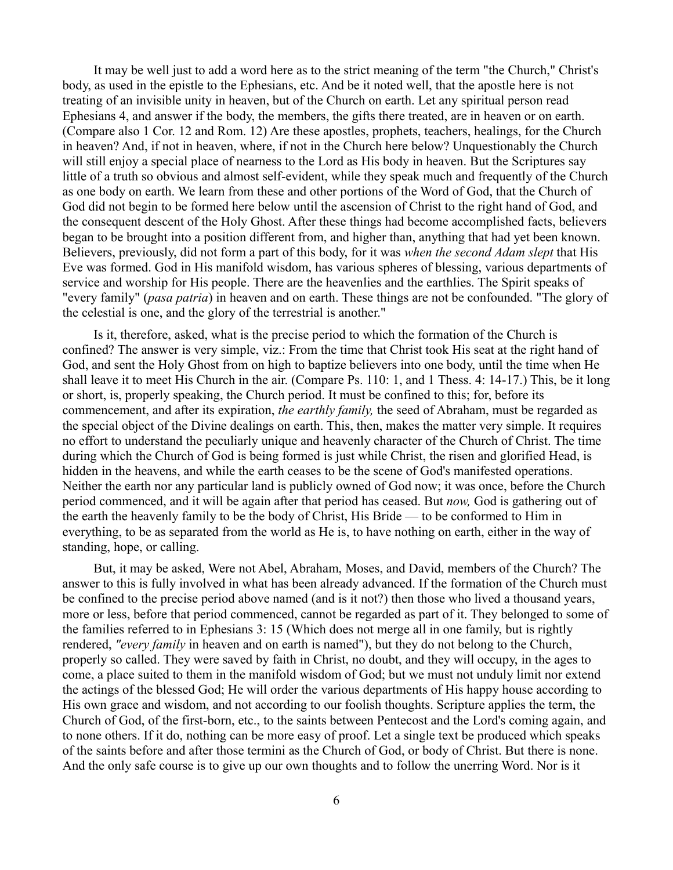It may be well just to add a word here as to the strict meaning of the term "the Church," Christ's body, as used in the epistle to the Ephesians, etc. And be it noted well, that the apostle here is not treating of an invisible unity in heaven, but of the Church on earth. Let any spiritual person read Ephesians 4, and answer if the body, the members, the gifts there treated, are in heaven or on earth. (Compare also 1 Cor. 12 and Rom. 12) Are these apostles, prophets, teachers, healings, for the Church in heaven? And, if not in heaven, where, if not in the Church here below? Unquestionably the Church will still enjoy a special place of nearness to the Lord as His body in heaven. But the Scriptures say little of a truth so obvious and almost self-evident, while they speak much and frequently of the Church as one body on earth. We learn from these and other portions of the Word of God, that the Church of God did not begin to be formed here below until the ascension of Christ to the right hand of God, and the consequent descent of the Holy Ghost. After these things had become accomplished facts, believers began to be brought into a position different from, and higher than, anything that had yet been known. Believers, previously, did not form a part of this body, for it was *when the second Adam slept* that His Eve was formed. God in His manifold wisdom, has various spheres of blessing, various departments of service and worship for His people. There are the heavenlies and the earthlies. The Spirit speaks of "every family" (*pasa patria*) in heaven and on earth. These things are not be confounded. "The glory of the celestial is one, and the glory of the terrestrial is another."

Is it, therefore, asked, what is the precise period to which the formation of the Church is confined? The answer is very simple, viz.: From the time that Christ took His seat at the right hand of God, and sent the Holy Ghost from on high to baptize believers into one body, until the time when He shall leave it to meet His Church in the air. (Compare Ps. 110: 1, and 1 Thess. 4: 14-17.) This, be it long or short, is, properly speaking, the Church period. It must be confined to this; for, before its commencement, and after its expiration, *the earthly family,* the seed of Abraham, must be regarded as the special object of the Divine dealings on earth. This, then, makes the matter very simple. It requires no effort to understand the peculiarly unique and heavenly character of the Church of Christ. The time during which the Church of God is being formed is just while Christ, the risen and glorified Head, is hidden in the heavens, and while the earth ceases to be the scene of God's manifested operations. Neither the earth nor any particular land is publicly owned of God now; it was once, before the Church period commenced, and it will be again after that period has ceased. But *now,* God is gathering out of the earth the heavenly family to be the body of Christ, His Bride — to be conformed to Him in everything, to be as separated from the world as He is, to have nothing on earth, either in the way of standing, hope, or calling.

But, it may be asked, Were not Abel, Abraham, Moses, and David, members of the Church? The answer to this is fully involved in what has been already advanced. If the formation of the Church must be confined to the precise period above named (and is it not?) then those who lived a thousand years, more or less, before that period commenced, cannot be regarded as part of it. They belonged to some of the families referred to in Ephesians 3: 15 (Which does not merge all in one family, but is rightly rendered, *"every family* in heaven and on earth is named"), but they do not belong to the Church, properly so called. They were saved by faith in Christ, no doubt, and they will occupy, in the ages to come, a place suited to them in the manifold wisdom of God; but we must not unduly limit nor extend the actings of the blessed God; He will order the various departments of His happy house according to His own grace and wisdom, and not according to our foolish thoughts. Scripture applies the term, the Church of God, of the first-born, etc., to the saints between Pentecost and the Lord's coming again, and to none others. If it do, nothing can be more easy of proof. Let a single text be produced which speaks of the saints before and after those termini as the Church of God, or body of Christ. But there is none. And the only safe course is to give up our own thoughts and to follow the unerring Word. Nor is it